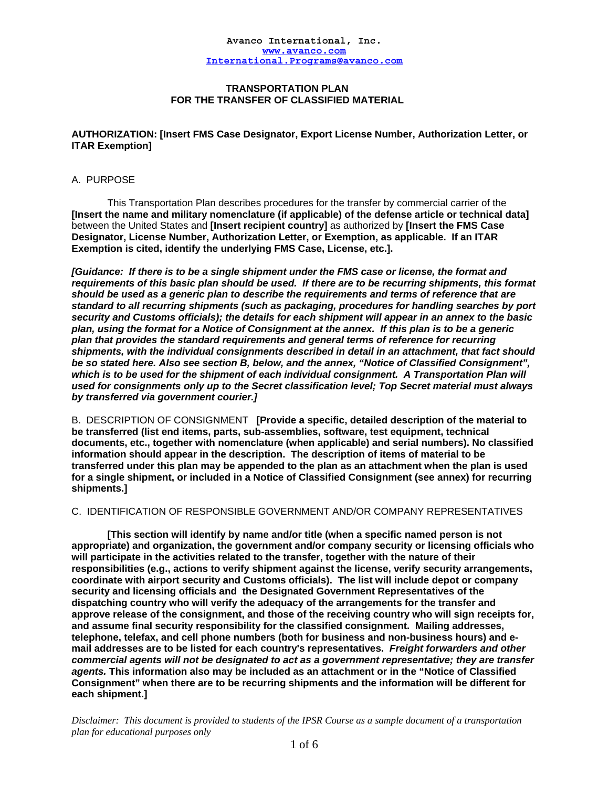## **TRANSPORTATION PLAN FOR THE TRANSFER OF CLASSIFIED MATERIAL**

## **AUTHORIZATION: [Insert FMS Case Designator, Export License Number, Authorization Letter, or ITAR Exemption]**

## A. PURPOSE

 This Transportation Plan describes procedures for the transfer by commercial carrier of the **[Insert the name and military nomenclature (if applicable) of the defense article or technical data]** between the United States and **[Insert recipient country]** as authorized by **[Insert the FMS Case Designator, License Number, Authorization Letter, or Exemption, as applicable. If an ITAR Exemption is cited, identify the underlying FMS Case, License, etc.].** 

*[Guidance: If there is to be a single shipment under the FMS case or license, the format and requirements of this basic plan should be used. If there are to be recurring shipments, this format should be used as a generic plan to describe the requirements and terms of reference that are standard to all recurring shipments (such as packaging, procedures for handling searches by port security and Customs officials); the details for each shipment will appear in an annex to the basic plan, using the format for a Notice of Consignment at the annex. If this plan is to be a generic plan that provides the standard requirements and general terms of reference for recurring shipments, with the individual consignments described in detail in an attachment, that fact should be so stated here. Also see section B, below, and the annex, "Notice of Classified Consignment", which is to be used for the shipment of each individual consignment. A Transportation Plan will used for consignments only up to the Secret classification level; Top Secret material must always by transferred via government courier.]* 

B. DESCRIPTION OF CONSIGNMENT **[Provide a specific, detailed description of the material to be transferred (list end items, parts, sub-assemblies, software, test equipment, technical documents, etc., together with nomenclature (when applicable) and serial numbers). No classified information should appear in the description. The description of items of material to be transferred under this plan may be appended to the plan as an attachment when the plan is used for a single shipment, or included in a Notice of Classified Consignment (see annex) for recurring shipments.]** 

## C. IDENTIFICATION OF RESPONSIBLE GOVERNMENT AND/OR COMPANY REPRESENTATIVES

**[This section will identify by name and/or title (when a specific named person is not appropriate) and organization, the government and/or company security or licensing officials who will participate in the activities related to the transfer, together with the nature of their responsibilities (e.g., actions to verify shipment against the license, verify security arrangements, coordinate with airport security and Customs officials). The list will include depot or company security and licensing officials and the Designated Government Representatives of the dispatching country who will verify the adequacy of the arrangements for the transfer and approve release of the consignment, and those of the receiving country who will sign receipts for, and assume final security responsibility for the classified consignment. Mailing addresses, telephone, telefax, and cell phone numbers (both for business and non-business hours) and email addresses are to be listed for each country's representatives.** *Freight forwarders and other commercial agents will not be designated to act as a government representative; they are transfer agents.* **This information also may be included as an attachment or in the "Notice of Classified Consignment" when there are to be recurring shipments and the information will be different for each shipment.]**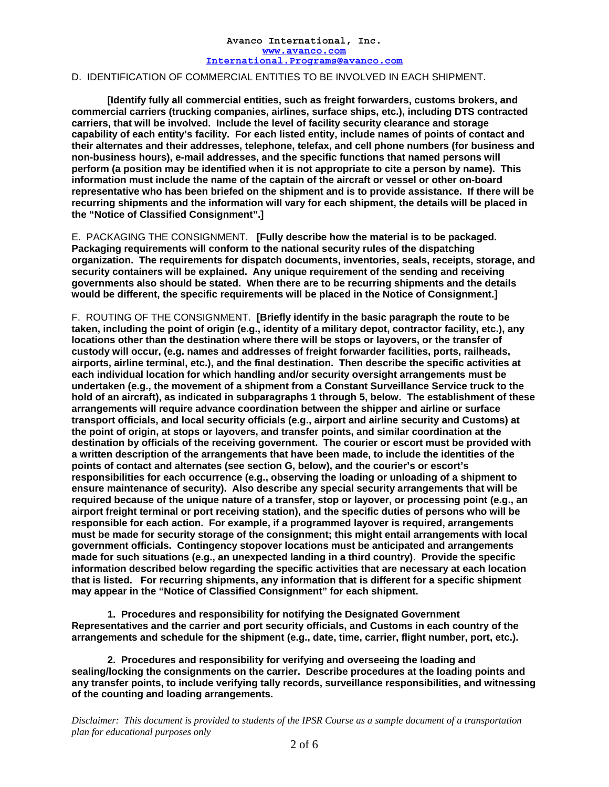# D. IDENTIFICATION OF COMMERCIAL ENTITIES TO BE INVOLVED IN EACH SHIPMENT.

**[Identify fully all commercial entities, such as freight forwarders, customs brokers, and commercial carriers (trucking companies, airlines, surface ships, etc.), including DTS contracted carriers, that will be involved. Include the level of facility security clearance and storage capability of each entity's facility. For each listed entity, include names of points of contact and their alternates and their addresses, telephone, telefax, and cell phone numbers (for business and non-business hours), e-mail addresses, and the specific functions that named persons will perform (a position may be identified when it is not appropriate to cite a person by name). This information must include the name of the captain of the aircraft or vessel or other on-board representative who has been briefed on the shipment and is to provide assistance. If there will be recurring shipments and the information will vary for each shipment, the details will be placed in the "Notice of Classified Consignment".]** 

E. PACKAGING THE CONSIGNMENT. **[Fully describe how the material is to be packaged. Packaging requirements will conform to the national security rules of the dispatching organization. The requirements for dispatch documents, inventories, seals, receipts, storage, and security containers will be explained. Any unique requirement of the sending and receiving governments also should be stated. When there are to be recurring shipments and the details would be different, the specific requirements will be placed in the Notice of Consignment.]** 

F. ROUTING OF THE CONSIGNMENT. **[Briefly identify in the basic paragraph the route to be taken, including the point of origin (e.g., identity of a military depot, contractor facility, etc.), any locations other than the destination where there will be stops or layovers, or the transfer of custody will occur, (e.g. names and addresses of freight forwarder facilities, ports, railheads, airports, airline terminal, etc.), and the final destination. Then describe the specific activities at each individual location for which handling and/or security oversight arrangements must be undertaken (e.g., the movement of a shipment from a Constant Surveillance Service truck to the hold of an aircraft), as indicated in subparagraphs 1 through 5, below. The establishment of these arrangements will require advance coordination between the shipper and airline or surface transport officials, and local security officials (e.g., airport and airline security and Customs) at the point of origin, at stops or layovers, and transfer points, and similar coordination at the destination by officials of the receiving government. The courier or escort must be provided with a written description of the arrangements that have been made, to include the identities of the points of contact and alternates (see section G, below), and the courier's or escort's responsibilities for each occurrence (e.g., observing the loading or unloading of a shipment to ensure maintenance of security). Also describe any special security arrangements that will be required because of the unique nature of a transfer, stop or layover, or processing point (e.g., an airport freight terminal or port receiving station), and the specific duties of persons who will be responsible for each action. For example, if a programmed layover is required, arrangements must be made for security storage of the consignment; this might entail arrangements with local government officials. Contingency stopover locations must be anticipated and arrangements made for such situations (e.g., an unexpected landing in a third country)**. **Provide the specific information described below regarding the specific activities that are necessary at each location that is listed. For recurring shipments, any information that is different for a specific shipment may appear in the "Notice of Classified Consignment" for each shipment.** 

 **1. Procedures and responsibility for notifying the Designated Government Representatives and the carrier and port security officials, and Customs in each country of the arrangements and schedule for the shipment (e.g., date, time, carrier, flight number, port, etc.).** 

 **2. Procedures and responsibility for verifying and overseeing the loading and sealing/locking the consignments on the carrier. Describe procedures at the loading points and any transfer points, to include verifying tally records, surveillance responsibilities, and witnessing of the counting and loading arrangements.**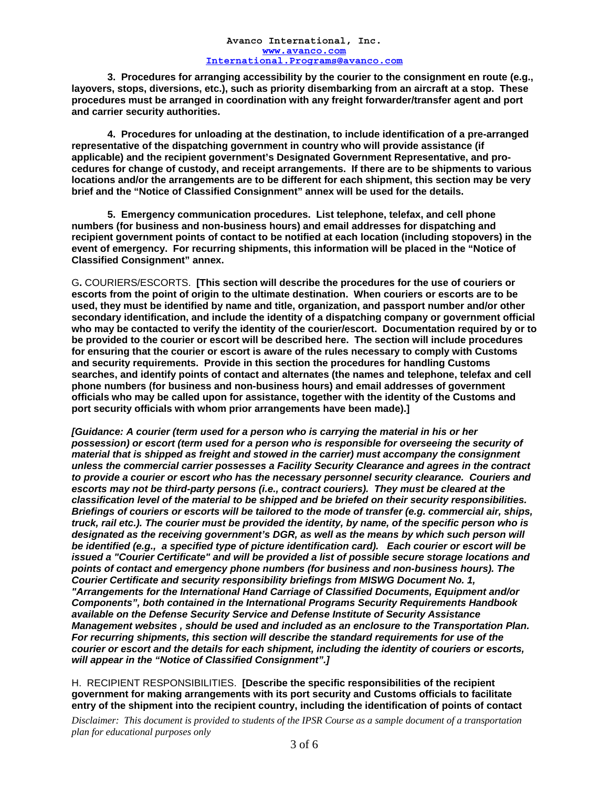**3. Procedures for arranging accessibility by the courier to the consignment en route (e.g., layovers, stops, diversions, etc.), such as priority disembarking from an aircraft at a stop. These procedures must be arranged in coordination with any freight forwarder/transfer agent and port and carrier security authorities.** 

 **4. Procedures for unloading at the destination, to include identification of a pre-arranged representative of the dispatching government in country who will provide assistance (if applicable) and the recipient government's Designated Government Representative, and procedures for change of custody, and receipt arrangements. If there are to be shipments to various locations and/or the arrangements are to be different for each shipment, this section may be very brief and the "Notice of Classified Consignment" annex will be used for the details.** 

 **5. Emergency communication procedures. List telephone, telefax, and cell phone numbers (for business and non-business hours) and email addresses for dispatching and recipient government points of contact to be notified at each location (including stopovers) in the event of emergency. For recurring shipments, this information will be placed in the "Notice of Classified Consignment" annex.** 

G**.** COURIERS/ESCORTS. **[This section will describe the procedures for the use of couriers or escorts from the point of origin to the ultimate destination. When couriers or escorts are to be used, they must be identified by name and title, organization, and passport number and/or other secondary identification, and include the identity of a dispatching company or government official who may be contacted to verify the identity of the courier/escort. Documentation required by or to be provided to the courier or escort will be described here. The section will include procedures for ensuring that the courier or escort is aware of the rules necessary to comply with Customs and security requirements. Provide in this section the procedures for handling Customs searches, and identify points of contact and alternates (the names and telephone, telefax and cell phone numbers (for business and non-business hours) and email addresses of government officials who may be called upon for assistance, together with the identity of the Customs and port security officials with whom prior arrangements have been made).]** 

*[Guidance: A courier (term used for a person who is carrying the material in his or her possession) or escort (term used for a person who is responsible for overseeing the security of material that is shipped as freight and stowed in the carrier) must accompany the consignment unless the commercial carrier possesses a Facility Security Clearance and agrees in the contract to provide a courier or escort who has the necessary personnel security clearance. Couriers and escorts may not be third-party persons (i.e., contract couriers). They must be cleared at the classification level of the material to be shipped and be briefed on their security responsibilities. Briefings of couriers or escorts will be tailored to the mode of transfer (e.g. commercial air, ships, truck, rail etc.). The courier must be provided the identity, by name, of the specific person who is designated as the receiving government's DGR, as well as the means by which such person will be identified (e.g., a specified type of picture identification card). Each courier or escort will be issued a "Courier Certificate" and will be provided a list of possible secure storage locations and points of contact and emergency phone numbers (for business and non-business hours). The Courier Certificate and security responsibility briefings from MISWG Document No. 1, "Arrangements for the International Hand Carriage of Classified Documents, Equipment and/or Components", both contained in the International Programs Security Requirements Handbook available on the Defense Security Service and Defense Institute of Security Assistance Management websites , should be used and included as an enclosure to the Transportation Plan. For recurring shipments, this section will describe the standard requirements for use of the courier or escort and the details for each shipment, including the identity of couriers or escorts, will appear in the "Notice of Classified Consignment".]* 

H. RECIPIENT RESPONSIBILITIES. **[Describe the specific responsibilities of the recipient government for making arrangements with its port security and Customs officials to facilitate entry of the shipment into the recipient country, including the identification of points of contact**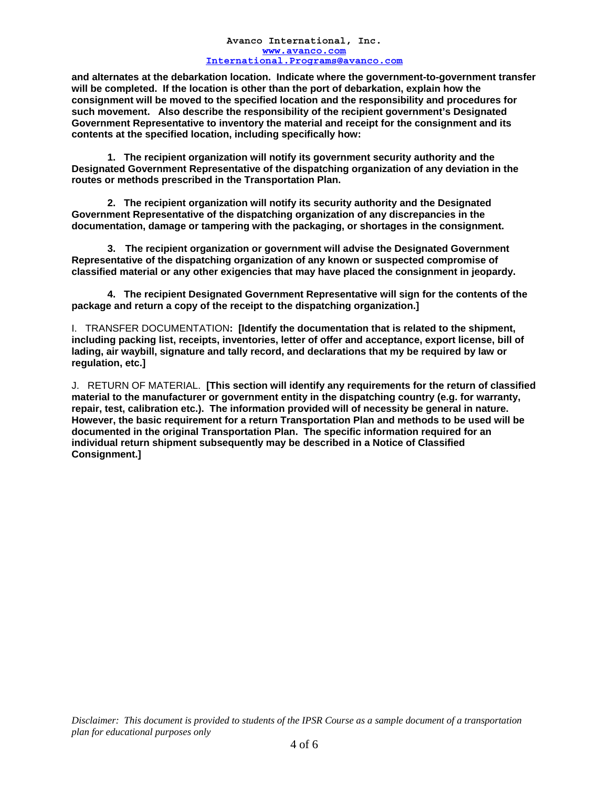**and alternates at the debarkation location. Indicate where the government-to-government transfer will be completed. If the location is other than the port of debarkation, explain how the consignment will be moved to the specified location and the responsibility and procedures for such movement. Also describe the responsibility of the recipient government's Designated Government Representative to inventory the material and receipt for the consignment and its contents at the specified location, including specifically how:** 

 **1. The recipient organization will notify its government security authority and the Designated Government Representative of the dispatching organization of any deviation in the routes or methods prescribed in the Transportation Plan.** 

 **2. The recipient organization will notify its security authority and the Designated Government Representative of the dispatching organization of any discrepancies in the documentation, damage or tampering with the packaging, or shortages in the consignment.** 

**3. The recipient organization or government will advise the Designated Government Representative of the dispatching organization of any known or suspected compromise of classified material or any other exigencies that may have placed the consignment in jeopardy.** 

**4. The recipient Designated Government Representative will sign for the contents of the package and return a copy of the receipt to the dispatching organization.]** 

I.TRANSFER DOCUMENTATION**: [Identify the documentation that is related to the shipment, including packing list, receipts, inventories, letter of offer and acceptance, export license, bill of lading, air waybill, signature and tally record, and declarations that my be required by law or regulation, etc.]** 

J. RETURN OF MATERIAL. **[This section will identify any requirements for the return of classified material to the manufacturer or government entity in the dispatching country (e.g. for warranty, repair, test, calibration etc.). The information provided will of necessity be general in nature. However, the basic requirement for a return Transportation Plan and methods to be used will be documented in the original Transportation Plan. The specific information required for an individual return shipment subsequently may be described in a Notice of Classified Consignment.]**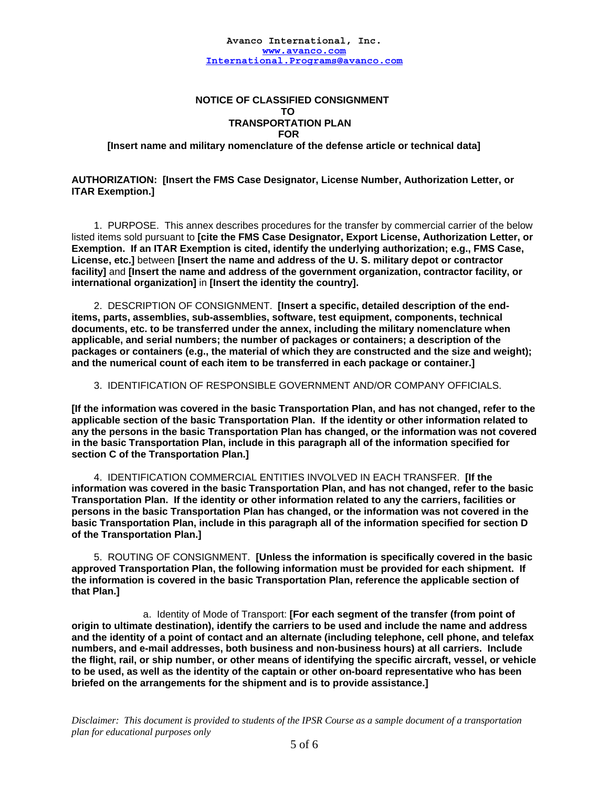# **NOTICE OF CLASSIFIED CONSIGNMENT TO TRANSPORTATION PLAN**  *FOR*

 **[Insert name and military nomenclature of the defense article or technical data]** 

**AUTHORIZATION: [Insert the FMS Case Designator, License Number, Authorization Letter, or ITAR Exemption.]** 

 1. PURPOSE. This annex describes procedures for the transfer by commercial carrier of the below listed items sold pursuant to **[cite the FMS Case Designator, Export License, Authorization Letter, or Exemption. If an ITAR Exemption is cited, identify the underlying authorization; e.g., FMS Case, License, etc.]** between **[Insert the name and address of the U. S. military depot or contractor facility]** and **[Insert the name and address of the government organization, contractor facility, or international organization]** in **[Insert the identity the country].** 

2. DESCRIPTION OF CONSIGNMENT. **[Insert a specific, detailed description of the enditems, parts, assemblies, sub-assemblies, software, test equipment, components, technical documents, etc. to be transferred under the annex, including the military nomenclature when applicable, and serial numbers; the number of packages or containers; a description of the packages or containers (e.g., the material of which they are constructed and the size and weight); and the numerical count of each item to be transferred in each package or container.]** 

### 3. IDENTIFICATION OF RESPONSIBLE GOVERNMENT AND/OR COMPANY OFFICIALS.

**[If the information was covered in the basic Transportation Plan, and has not changed, refer to the applicable section of the basic Transportation Plan. If the identity or other information related to any the persons in the basic Transportation Plan has changed, or the information was not covered in the basic Transportation Plan, include in this paragraph all of the information specified for section C of the Transportation Plan.]**

 4. IDENTIFICATION COMMERCIAL ENTITIES INVOLVED IN EACH TRANSFER. **[If the information was covered in the basic Transportation Plan, and has not changed, refer to the basic Transportation Plan. If the identity or other information related to any the carriers, facilities or persons in the basic Transportation Plan has changed, or the information was not covered in the basic Transportation Plan, include in this paragraph all of the information specified for section D of the Transportation Plan.]**

 5. ROUTING OF CONSIGNMENT. **[Unless the information is specifically covered in the basic approved Transportation Plan, the following information must be provided for each shipment. If the information is covered in the basic Transportation Plan, reference the applicable section of that Plan.]** 

 a. Identity of Mode of Transport: **[For each segment of the transfer (from point of origin to ultimate destination), identify the carriers to be used and include the name and address and the identity of a point of contact and an alternate (including telephone, cell phone, and telefax numbers, and e-mail addresses, both business and non-business hours) at all carriers. Include the flight, rail, or ship number, or other means of identifying the specific aircraft, vessel, or vehicle to be used, as well as the identity of the captain or other on-board representative who has been briefed on the arrangements for the shipment and is to provide assistance.]**